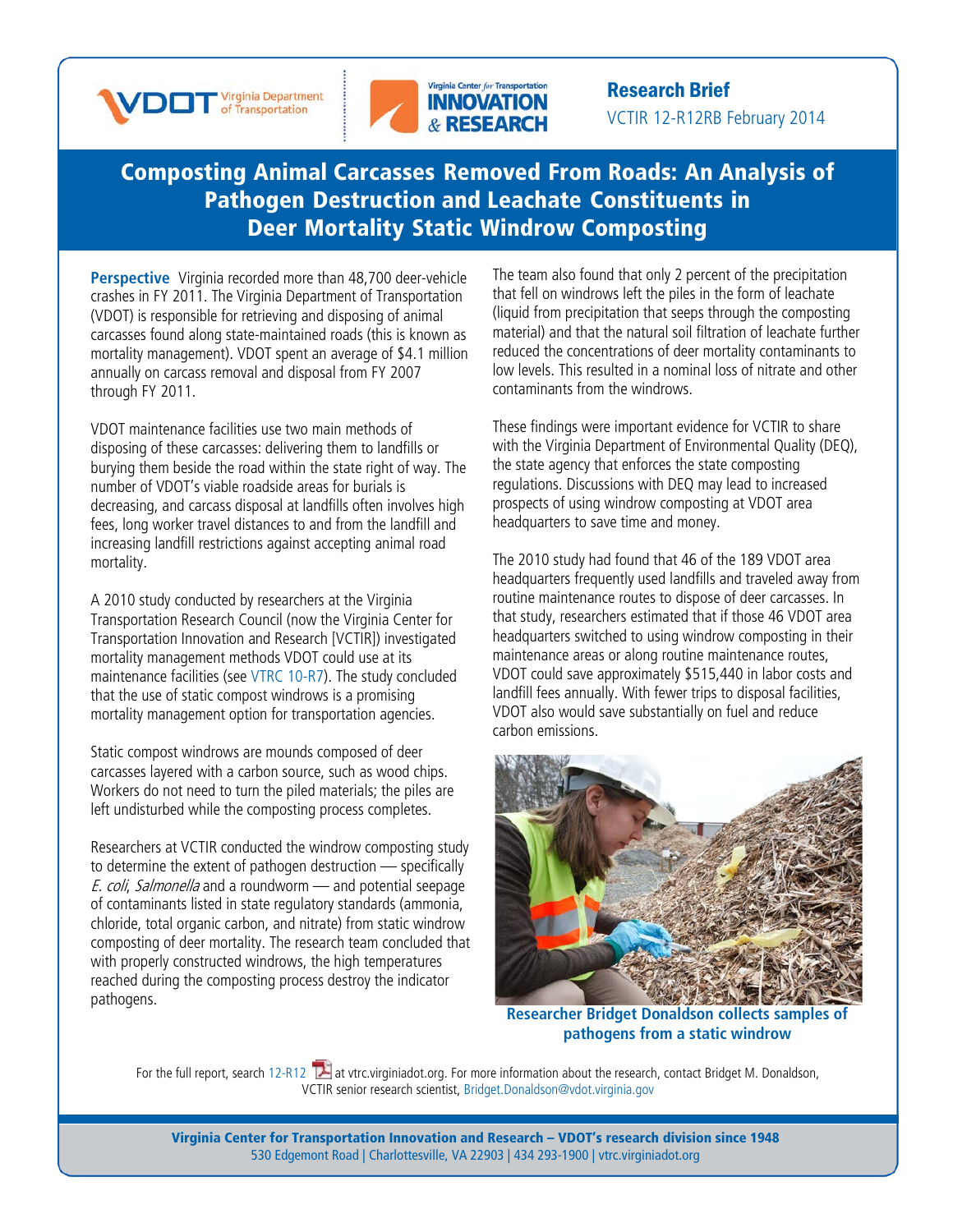



Research Brief VCTIR 12-R12RB February 2014

## [Composting](http://www.virginiadot.org/vtrc/main/online_reports/pdf/12-r12.pdf) Animal Carcasses Removed From Roads: An Analysis of Pathogen [Destruction and](http://www.virginiadot.org/vtrc/main/online_reports/pdf/12-r12.pdf) Leachate Constituents in Deer Mortality Static Windrow [Composting](http://www.virginiadot.org/vtrc/main/online_reports/pdf/12-r12.pdf)

**Perspective** Virginia recorded more than 48,700 deer-vehicle crashes in FY 2011. The Virginia Department of Transportation (VDOT) is responsible for retrieving and disposing of animal carcasses found along state-maintained roads (this is known as mortality management). VDOT spent an average of \$4.1 million annually on carcass removal and disposal from FY 2007 through FY 2011.

VDOT maintenance facilities use two main methods of disposing of these carcasses: delivering them to landfills or burying them beside the road within the state right of way. The number of VDOT's viable roadside areas for burials is decreasing, and carcass disposal at landfills often involves high fees, long worker travel distances to and from the landfill and increasing landfill restrictions against accepting animal road mortality.

A 2010 study conducted by researchers at the Virginia Transportation Research Council (now the Virginia Center for Transportation Innovation and Research [VCTIR]) investigated mortality management methods VDOT could use at its maintenance facilities (see [VTRC 10-R7\)](http://www.virginiadot.org/vtrc/main/online_reports/pdf/10-r7.pdf). The study concluded that the use of static compost windrows is a promising mortality management option for transportation agencies.

Static compost windrows are mounds composed of deer carcasses layered with a carbon source, such as wood chips. Workers do not need to turn the piled materials; the piles are left undisturbed while the composting process completes.

Researchers at VCTIR conducted the windrow composting study to determine the extent of pathogen destruction — specifically E. coli, Salmonella and a roundworm — and potential seepage of contaminants listed in state regulatory standards (ammonia, chloride, total organic carbon, and nitrate) from static windrow composting of deer mortality. The research team concluded that with properly constructed windrows, the high temperatures reached during the composting process destroy the indicator pathogens.

The team also found that only 2 percent of the precipitation that fell on windrows left the piles in the form of leachate (liquid from precipitation that seeps through the composting material) and that the natural soil filtration of leachate further reduced the concentrations of deer mortality contaminants to low levels. This resulted in a nominal loss of nitrate and other contaminants from the windrows.

These findings were important evidence for VCTIR to share with the Virginia Department of Environmental Quality (DEQ), the state agency that enforces the state composting regulations. Discussions with DEQ may lead to increased prospects of using windrow composting at VDOT area headquarters to save time and money.

The 2010 study had found that 46 of the 189 VDOT area headquarters frequently used landfills and traveled away from routine maintenance routes to dispose of deer carcasses. In that study, researchers estimated that if those 46 VDOT area headquarters switched to using windrow composting in their maintenance areas or along routine maintenance routes, VDOT could save approximately \$515,440 in labor costs and landfill fees annually. With fewer trips to disposal facilities, VDOT also would save substantially on fuel and reduce carbon emissions.



**Researcher Bridget Donaldson collects samples of pathogens from a static windrow**

For the full report, searc[h 12-R12](http://www.virginiadot.org/vtrc/main/online_reports/pdf/12-r12.pdf) <sup>1</sup> at vtrc.virginiadot.org. For more information about the research, contact Bridget M. Donaldson, VCTIR senior research scientist, [Bridget.Donaldson@vdot.virginia.gov](mailto:Bridget.Donaldson@vdot.virginia.gov)

Virginia Center for Transportation Innovation and Research – VDOT's research division since 1948 530 Edgemont Road | Charlottesville, VA 22903 | 434 293-1900 | [vtrc.virginiadot.org](http://vtrc.virginiadot.org/)